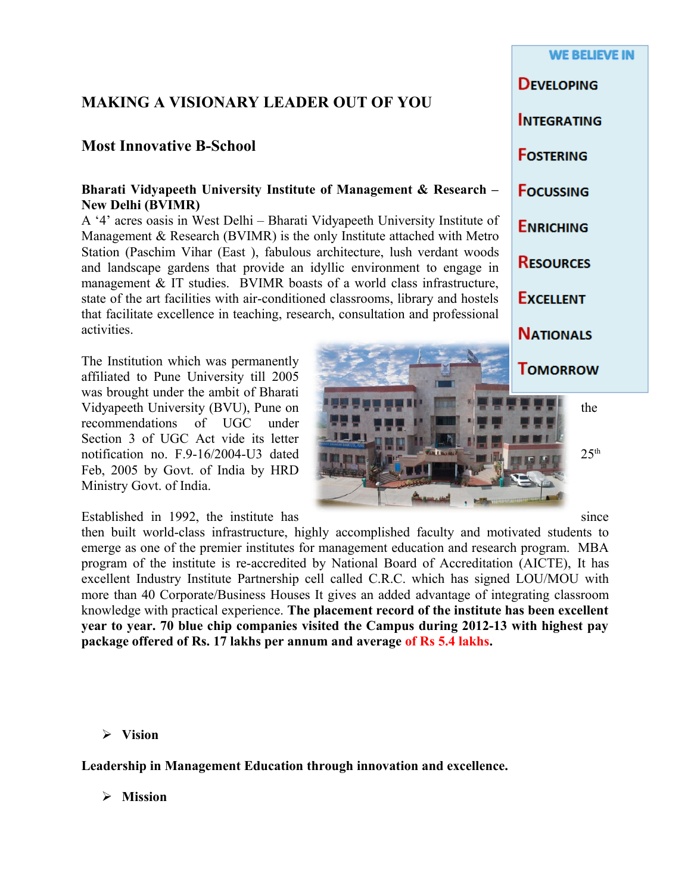# **MAKING A VISIONARY LEADER OUT OF YOU**

# **Most Innovative B-School**

#### **Bharati Vidyapeeth University Institute of Management & Research – New Delhi (BVIMR)**

A '4' acres oasis in West Delhi – Bharati Vidyapeeth University Institute of Management & Research (BVIMR) is the only Institute attached with Metro Station (Paschim Vihar (East ), fabulous architecture, lush verdant woods and landscape gardens that provide an idyllic environment to engage in management & IT studies. BVIMR boasts of a world class infrastructure, state of the art facilities with air-conditioned classrooms, library and hostels that facilitate excellence in teaching, research, consultation and professional activities.

The Institution which was permanently affiliated to Pune University till 2005 was brought under the ambit of Bharati Vidyapeeth University (BVU), Pune on  $\blacksquare$ recommendations of UGC under Section 3 of UGC Act vide its letter notification no. F.9-16/2004-U3 dated  $25<sup>th</sup>$ Feb, 2005 by Govt. of India by HRD Ministry Govt. of India.

Established in 1992, the institute has since since

then built world-class infrastructure, highly accomplished faculty and motivated students to emerge as one of the premier institutes for management education and research program. MBA program of the institute is re-accredited by National Board of Accreditation (AICTE), It has excellent Industry Institute Partnership cell called C.R.C. which has signed LOU/MOU with more than 40 Corporate/Business Houses It gives an added advantage of integrating classroom knowledge with practical experience. **The placement record of the institute has been excellent year to year. 70 blue chip companies visited the Campus during 2012-13 with highest pay package offered of Rs. 17 lakhs per annum and average of Rs 5.4 lakhs.**

**WE BELIEVE IN DEVELOPING INTEGRATING FOSTERING FOCUSSING ENRICHING RESOURCES EXCELLENT NATIONALS TOMORROW** 

**Vision**

**Leadership in Management Education through innovation and excellence.**

**Mission**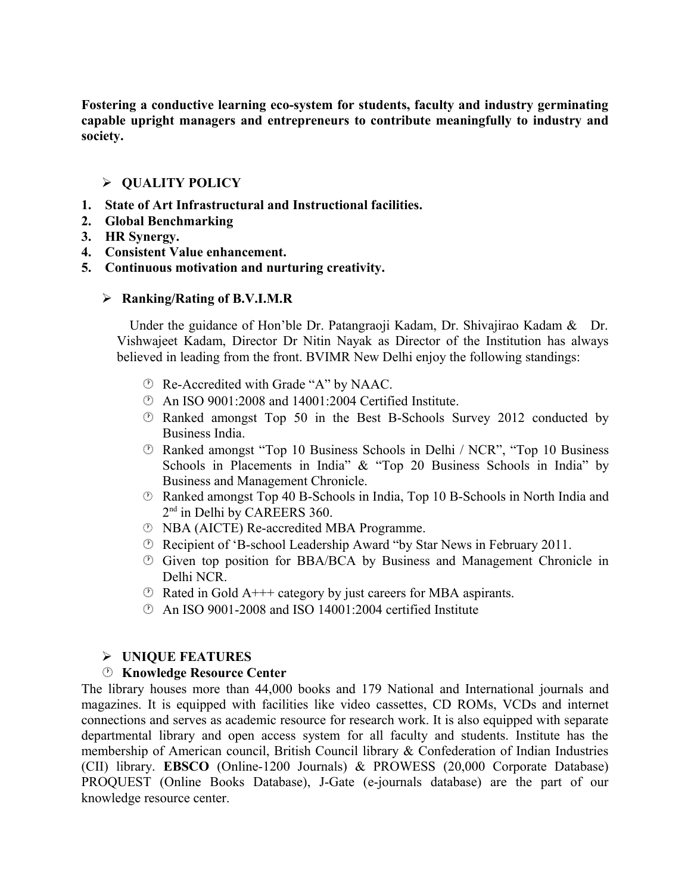**Fostering a conductive learning eco-system for students, faculty and industry germinating capable upright managers and entrepreneurs to contribute meaningfully to industry and society.** 

# **QUALITY POLICY**

- **1. State of Art Infrastructural and Instructional facilities.**
- **2. Global Benchmarking**
- **3. HR Synergy.**
- **4. Consistent Value enhancement.**
- **5. Continuous motivation and nurturing creativity.**

# **Ranking/Rating of B.V.I.M.R**

 Under the guidance of Hon'ble Dr. Patangraoji Kadam, Dr. Shivajirao Kadam & Dr. Vishwajeet Kadam, Director Dr Nitin Nayak as Director of the Institution has always believed in leading from the front. BVIMR New Delhi enjoy the following standings:

- Re-Accredited with Grade "A" by NAAC.
- An ISO 9001:2008 and 14001:2004 Certified Institute.
- Ranked amongst Top 50 in the Best B-Schools Survey 2012 conducted by Business India.
- Ranked amongst "Top 10 Business Schools in Delhi / NCR", "Top 10 Business Schools in Placements in India" & "Top 20 Business Schools in India" by Business and Management Chronicle.
- Ranked amongst Top 40 B-Schools in India, Top 10 B-Schools in North India and 2<sup>nd</sup> in Delhi by CAREERS 360.
- NBA (AICTE) Re-accredited MBA Programme.
- Recipient of 'B-school Leadership Award "by Star News in February 2011.
- Given top position for BBA/BCA by Business and Management Chronicle in Delhi NCR.
- $\circled{e}$  Rated in Gold A+++ category by just careers for MBA aspirants.
- An ISO 9001-2008 and ISO 14001:2004 certified Institute

# **UNIQUE FEATURES**

# **Knowledge Resource Center**

The library houses more than 44,000 books and 179 National and International journals and magazines. It is equipped with facilities like video cassettes, CD ROMs, VCDs and internet connections and serves as academic resource for research work. It is also equipped with separate departmental library and open access system for all faculty and students. Institute has the membership of American council, British Council library & Confederation of Indian Industries (CII) library. **EBSCO** (Online-1200 Journals) & PROWESS (20,000 Corporate Database) PROQUEST (Online Books Database), J-Gate (e-journals database) are the part of our knowledge resource center.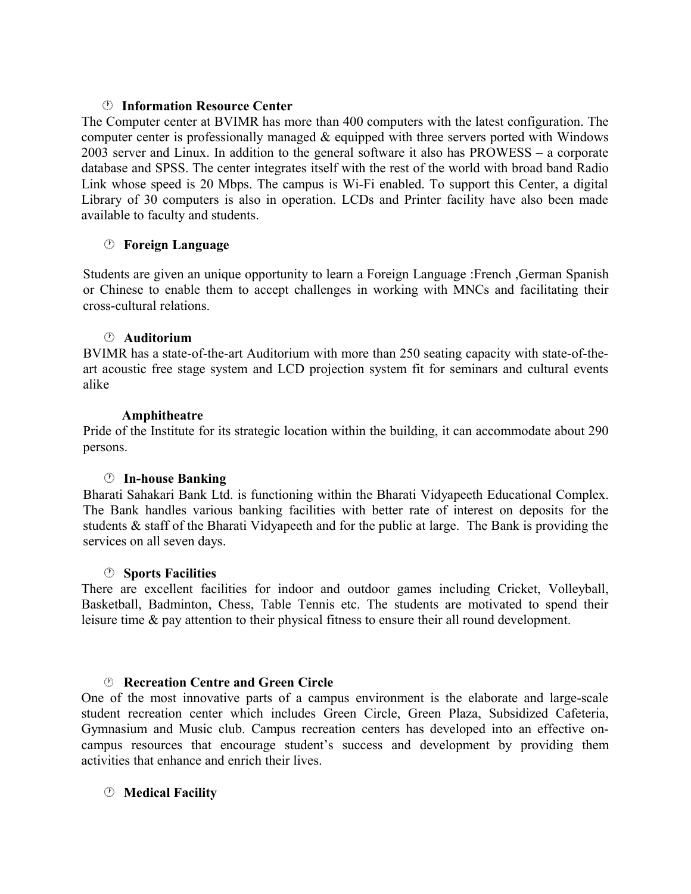#### **Information Resource Center**

The Computer center at BVIMR has more than 400 computers with the latest configuration. The computer center is professionally managed  $\&$  equipped with three servers ported with Windows 2003 server and Linux. In addition to the general software it also has PROWESS – a corporate database and SPSS. The center integrates itself with the rest of the world with broad band Radio Link whose speed is 20 Mbps. The campus is Wi-Fi enabled. To support this Center, a digital Library of 30 computers is also in operation. LCDs and Printer facility have also been made available to faculty and students.

# **Foreign Language**

Students are given an unique opportunity to learn a Foreign Language :French ,German Spanish or Chinese to enable them to accept challenges in working with MNCs and facilitating their cross-cultural relations.

## **Auditorium**

BVIMR has a state-of-the-art Auditorium with more than 250 seating capacity with state-of-theart acoustic free stage system and LCD projection system fit for seminars and cultural events alike

## **Amphitheatre**

Pride of the Institute for its strategic location within the building, it can accommodate about 290 persons.

# **In-house Banking**

Bharati Sahakari Bank Ltd. is functioning within the Bharati Vidyapeeth Educational Complex. The Bank handles various banking facilities with better rate of interest on deposits for the students & staff of the Bharati Vidyapeeth and for the public at large. The Bank is providing the services on all seven days.

#### **Sports Facilities**

There are excellent facilities for indoor and outdoor games including Cricket, Volleyball, Basketball, Badminton, Chess, Table Tennis etc. The students are motivated to spend their leisure time & pay attention to their physical fitness to ensure their all round development.

#### **Recreation Centre and Green Circle**

One of the most innovative parts of a campus environment is the elaborate and large-scale student recreation center which includes Green Circle, Green Plaza, Subsidized Cafeteria, Gymnasium and Music club. Campus recreation centers has developed into an effective oncampus resources that encourage student's success and development by providing them activities that enhance and enrich their lives.

# **Medical Facility**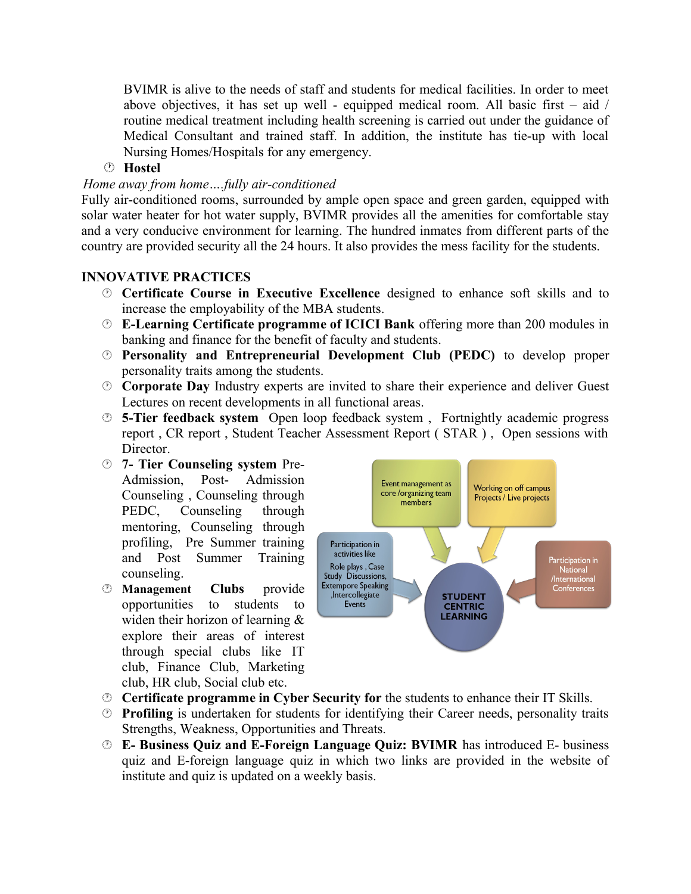BVIMR is alive to the needs of staff and students for medical facilities. In order to meet above objectives, it has set up well - equipped medical room. All basic first  $-$  aid  $/$ routine medical treatment including health screening is carried out under the guidance of Medical Consultant and trained staff. In addition, the institute has tie-up with local Nursing Homes/Hospitals for any emergency.

**Hostel**

## *Home away from home….fully air-conditioned*

Fully air-conditioned rooms, surrounded by ample open space and green garden, equipped with solar water heater for hot water supply, BVIMR provides all the amenities for comfortable stay and a very conducive environment for learning. The hundred inmates from different parts of the country are provided security all the 24 hours. It also provides the mess facility for the students.

## **INNOVATIVE PRACTICES**

- **Certificate Course in Executive Excellence** designed to enhance soft skills and to increase the employability of the MBA students.
- **E-Learning Certificate programme of ICICI Bank** offering more than 200 modules in banking and finance for the benefit of faculty and students.
- **Personality and Entrepreneurial Development Club (PEDC)** to develop proper personality traits among the students.
- **Corporate Day** Industry experts are invited to share their experience and deliver Guest Lectures on recent developments in all functional areas.
- **5-Tier feedback system** Open loop feedback system , Fortnightly academic progress report , CR report , Student Teacher Assessment Report ( STAR ) , Open sessions with Director.
- **7- Tier Counseling system** Pre-Admission, Post- Admission Counseling , Counseling through PEDC, Counseling through mentoring, Counseling through profiling, Pre Summer training and Post Summer Training counseling.
- **Management Clubs** provide opportunities to students to widen their horizon of learning & explore their areas of interest through special clubs like IT club, Finance Club, Marketing club, HR club, Social club etc.



- **Certificate programme in Cyber Security for** the students to enhance their IT Skills.
- **Profiling** is undertaken for students for identifying their Career needs, personality traits Strengths, Weakness, Opportunities and Threats.
- **E- Business Quiz and E-Foreign Language Quiz: BVIMR** has introduced E- business quiz and E-foreign language quiz in which two links are provided in the website of institute and quiz is updated on a weekly basis.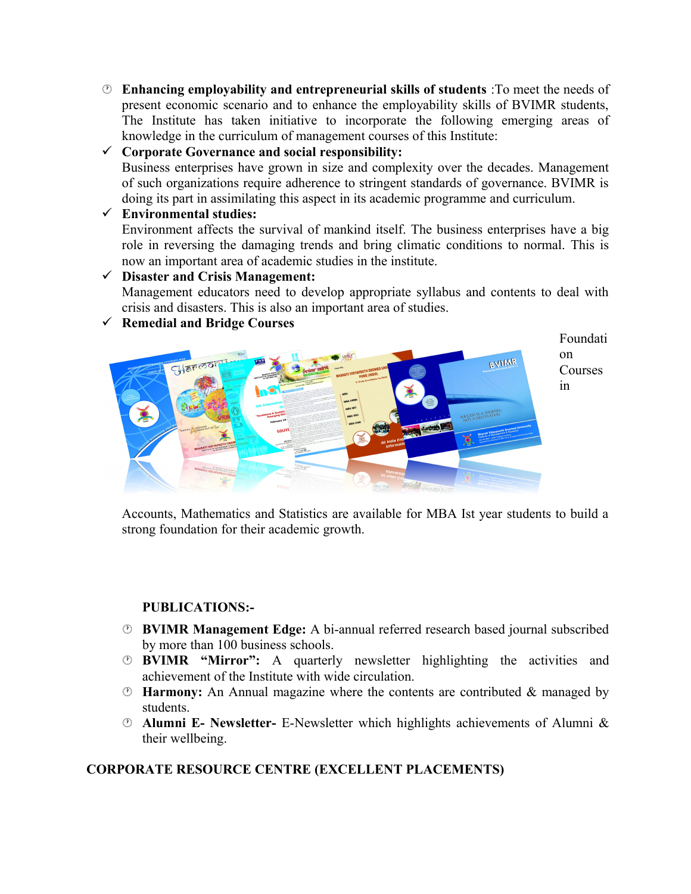**Enhancing employability and entrepreneurial skills of students** :To meet the needs of present economic scenario and to enhance the employability skills of BVIMR students, The Institute has taken initiative to incorporate the following emerging areas of knowledge in the curriculum of management courses of this Institute:

# **Corporate Governance and social responsibility:**

Business enterprises have grown in size and complexity over the decades. Management of such organizations require adherence to stringent standards of governance. BVIMR is doing its part in assimilating this aspect in its academic programme and curriculum.

# **Environmental studies:**

Environment affects the survival of mankind itself. The business enterprises have a big role in reversing the damaging trends and bring climatic conditions to normal. This is now an important area of academic studies in the institute.

#### **Disaster and Crisis Management:**

Management educators need to develop appropriate syllabus and contents to deal with crisis and disasters. This is also an important area of studies.

**Remedial and Bridge Courses**



Accounts, Mathematics and Statistics are available for MBA Ist year students to build a strong foundation for their academic growth.

# **PUBLICATIONS:-**

- **BVIMR Management Edge:** A bi-annual referred research based journal subscribed by more than 100 business schools.
- **BVIMR "Mirror":** A quarterly newsletter highlighting the activities and achievement of the Institute with wide circulation.
- **Harmony:** An Annual magazine where the contents are contributed & managed by students.
- **Alumni E- Newsletter-** E-Newsletter which highlights achievements of Alumni & their wellbeing.

# **CORPORATE RESOURCE CENTRE (EXCELLENT PLACEMENTS)**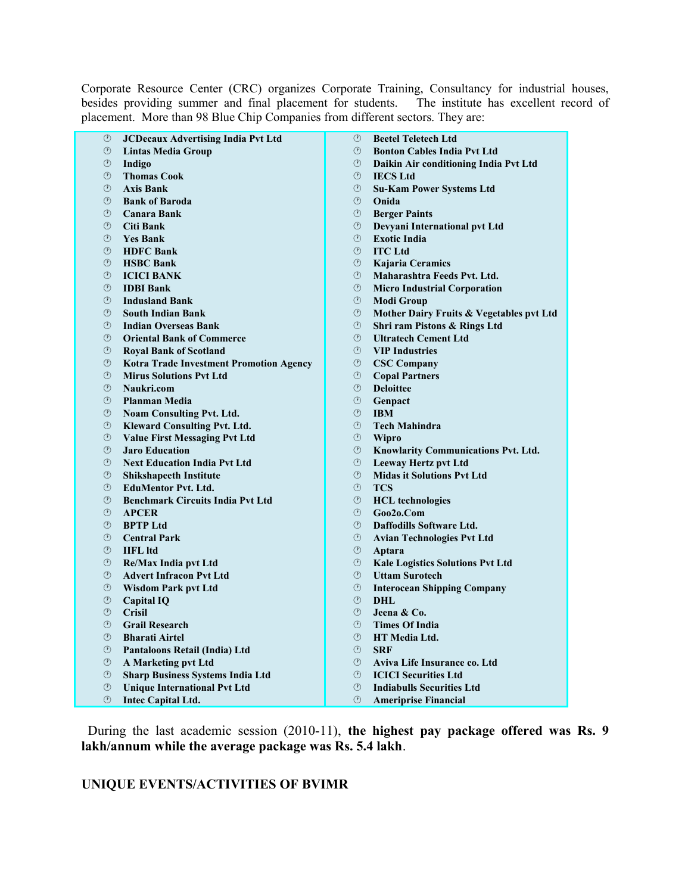Corporate Resource Center (CRC) organizes Corporate Training, Consultancy for industrial houses, besides providing summer and final placement for students. The institute has excellent record of placement. More than 98 Blue Chip Companies from different sectors. They are:

| <b>JCDecaux Advertising India Pvt Ltd</b><br>O                 | $^\circledR$    | <b>Beetel Teletech Ltd</b>               |
|----------------------------------------------------------------|-----------------|------------------------------------------|
| ⊙<br><b>Lintas Media Group</b>                                 | $\circled{r}$   | <b>Bonton Cables India Pvt Ltd</b>       |
| $^\circledR$<br>Indigo                                         | ⊙               | Daikin Air conditioning India Pvt Ltd    |
| $\circled{r}$<br><b>Thomas Cook</b>                            | $\odot$         | <b>IECS Ltd</b>                          |
| $\circled{r}$<br><b>Axis Bank</b>                              | $\circled{r}$   | <b>Su-Kam Power Systems Ltd</b>          |
| $\circled{r}$<br><b>Bank of Baroda</b>                         | ⊙               | Onida                                    |
| $\circled{r}$<br><b>Canara Bank</b>                            | ⊙               | <b>Berger Paints</b>                     |
| ⊙<br>Citi Bank                                                 | ⊙               | Devyani International pvt Ltd            |
| $\circled{r}$<br><b>Yes Bank</b>                               | $(\mathcal{F})$ | <b>Exotic India</b>                      |
| $\circled{r}$<br><b>HDFC Bank</b>                              | $\odot$         | <b>ITC</b> Ltd                           |
| ⊙<br><b>HSBC Bank</b>                                          | ⊙               | Kajaria Ceramics                         |
| $\circled{r}$<br><b>ICICI BANK</b>                             | $\circled{r}$   | Maharashtra Feeds Pvt. Ltd.              |
| $^\circledR$<br><b>IDBI</b> Bank                               | ⊙               | <b>Micro Industrial Corporation</b>      |
| $\circled{r}$<br><b>Indusland Bank</b>                         | $\odot$         | <b>Modi Group</b>                        |
| ⊙<br><b>South Indian Bank</b>                                  | ⊙               | Mother Dairy Fruits & Vegetables pvt Ltd |
| $\circled{r}$<br><b>Indian Overseas Bank</b>                   | $^\circledR$    | Shri ram Pistons & Rings Ltd             |
| $\circled{r}$<br><b>Oriental Bank of Commerce</b>              | $\circled{r}$   | <b>Ultratech Cement Ltd</b>              |
| ⊙<br><b>Royal Bank of Scotland</b>                             | $\circled{r}$   | <b>VIP Industries</b>                    |
| $^\circledR$<br><b>Kotra Trade Investment Promotion Agency</b> | ⊙               | <b>CSC Company</b>                       |
| $\circled{r}$<br><b>Mirus Solutions Pvt Ltd</b>                | (7)             | <b>Copal Partners</b>                    |
| $\circled{r}$<br>Naukri.com                                    | $\mathcal{O}$   | <b>Deloittee</b>                         |
| ⊙<br><b>Planman Media</b>                                      | $\circled{r}$   | Genpact                                  |
| ⊙<br>Noam Consulting Pvt. Ltd.                                 | ⊙               | <b>IBM</b>                               |
| $^\circledR$<br><b>Kleward Consulting Pvt. Ltd.</b>            | $(\mathcal{F})$ | <b>Tech Mahindra</b>                     |
| ⊙<br><b>Value First Messaging Pvt Ltd</b>                      | ⊙               | <b>Wipro</b>                             |
| $\circled{r}$<br><b>Jaro Education</b>                         | $\circled{r}$   | Knowlarity Communications Pvt. Ltd.      |
| $^\circledR$<br><b>Next Education India Pvt Ltd</b>            | $^\circledR$    | <b>Leeway Hertz pvt Ltd</b>              |
| ⊙<br><b>Shikshapeeth Institute</b>                             | $\circled{r}$   | <b>Midas it Solutions Pvt Ltd</b>        |
| ⊙<br><b>EduMentor Pvt. Ltd.</b>                                | ⊙               | <b>TCS</b>                               |
| $\circled{r}$<br><b>Benchmark Circuits India Pvt Ltd</b>       | $\circled{r}$   | <b>HCL</b> technologies                  |
| $\circled{r}$<br><b>APCER</b>                                  | $\odot$         | Goo2o.Com                                |
| $\circled{r}$<br><b>BPTP</b> Ltd                               | $\circled{r}$   | Daffodills Software Ltd.                 |
| $\circled{r}$<br><b>Central Park</b>                           | ⊙               | <b>Avian Technologies Pvt Ltd</b>        |
| ⊙<br><b>IIFL</b> ltd                                           | ⊙               | Aptara                                   |
| $^\circledR$<br><b>Re/Max India pvt Ltd</b>                    | ⊙               | <b>Kale Logistics Solutions Pvt Ltd</b>  |
| ⊙<br><b>Advert Infracon Pvt Ltd</b>                            | (1)             | <b>Uttam Surotech</b>                    |
| $^\circledR$<br><b>Wisdom Park pvt Ltd</b>                     | $^\circledR$    | <b>Interocean Shipping Company</b>       |
| $\circled{r}$<br><b>Capital IQ</b>                             | $(\mathcal{F})$ | DHL                                      |
| ⊙<br><b>Crisil</b>                                             | ⊙               | Jeena & Co.                              |
| $\circled{r}$<br><b>Grail Research</b>                         | $\odot$         | <b>Times Of India</b>                    |
| ⊙<br><b>Bharati Airtel</b>                                     | $\odot$         | <b>HT Media Ltd.</b>                     |
| ⊙<br>Pantaloons Retail (India) Ltd                             | $(\Gamma)$      | <b>SRF</b>                               |
| $^\circledR$<br>A Marketing pvt Ltd                            | ⊙               | Aviva Life Insurance co. Ltd             |
| ⊙<br><b>Sharp Business Systems India Ltd</b>                   | $\circled{r}$   | <b>ICICI Securities Ltd</b>              |
| $^\circledR$<br><b>Unique International Pvt Ltd</b>            | ⊙               | <b>Indiabulls Securities Ltd</b>         |
| $\circled{r}$<br><b>Intec Capital Ltd.</b>                     | (7)             | <b>Ameriprise Financial</b>              |

 During the last academic session (2010-11), **the highest pay package offered was Rs. 9 lakh/annum while the average package was Rs. 5.4 lakh**.

**UNIQUE EVENTS/ACTIVITIES OF BVIMR**